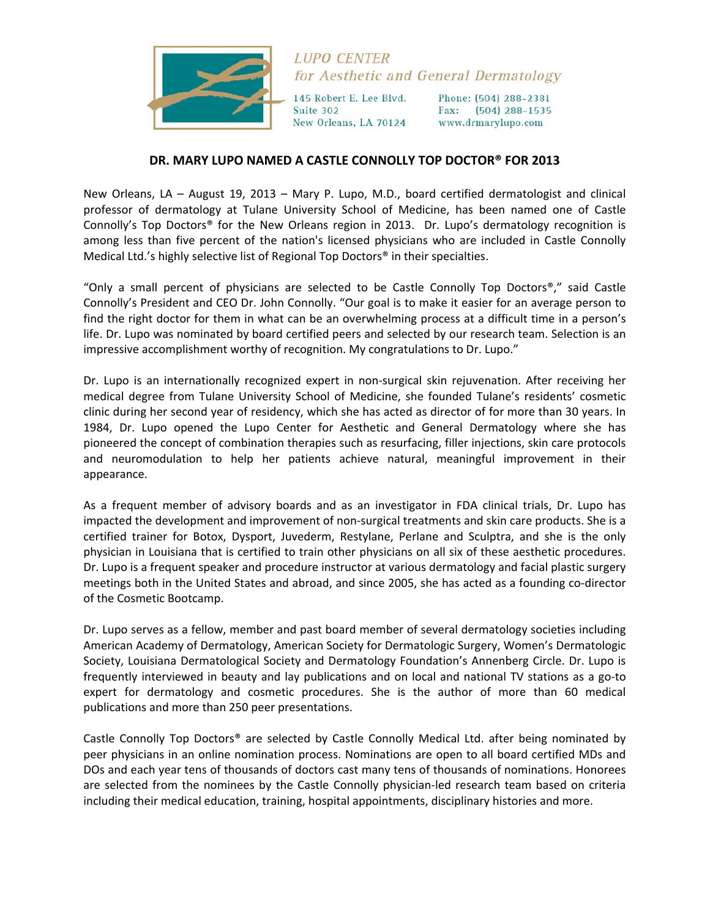

## **LUPO CENTER** for Aesthetic and General Dermatology

145 Robert E. Lee Blvd. Suite 302 New Orleans, LA 70124 Phone: (504) 288-2381 Fax: (504) 288-1535 www.drmarylupo.com

## **DR. MARY LUPO NAMED A CASTLE CONNOLLY TOP DOCTOR® FOR 2013**

New Orleans, LA – August 19, 2013 – Mary P. Lupo, M.D., board certified dermatologist and clinical professor of dermatology at Tulane University School of Medicine, has been named one of Castle Connolly's Top Doctors® for the New Orleans region in 2013. Dr. Lupo's dermatology recognition is among less than five percent of the nation's licensed physicians who are included in Castle Connolly Medical Ltd.'s highly selective list of Regional Top Doctors® in their specialties.

"Only a small percent of physicians are selected to be Castle Connolly Top Doctors®," said Castle Connolly's President and CEO Dr. John Connolly. "Our goal is to make it easier for an average person to find the right doctor for them in what can be an overwhelming process at a difficult time in a person's life. Dr. Lupo was nominated by board certified peers and selected by our research team. Selection is an impressive accomplishment worthy of recognition. My congratulations to Dr. Lupo."

Dr. Lupo is an internationally recognized expert in non‐surgical skin rejuvenation. After receiving her medical degree from Tulane University School of Medicine, she founded Tulane's residents' cosmetic clinic during her second year of residency, which she has acted as director of for more than 30 years. In 1984, Dr. Lupo opened the Lupo Center for Aesthetic and General Dermatology where she has pioneered the concept of combination therapies such as resurfacing, filler injections, skin care protocols and neuromodulation to help her patients achieve natural, meaningful improvement in their appearance.

As a frequent member of advisory boards and as an investigator in FDA clinical trials, Dr. Lupo has impacted the development and improvement of non‐surgical treatments and skin care products. She is a certified trainer for Botox, Dysport, Juvederm, Restylane, Perlane and Sculptra, and she is the only physician in Louisiana that is certified to train other physicians on all six of these aesthetic procedures. Dr. Lupo is a frequent speaker and procedure instructor at various dermatology and facial plastic surgery meetings both in the United States and abroad, and since 2005, she has acted as a founding co-director of the Cosmetic Bootcamp.

Dr. Lupo serves as a fellow, member and past board member of several dermatology societies including American Academy of Dermatology, American Society for Dermatologic Surgery, Women's Dermatologic Society, Louisiana Dermatological Society and Dermatology Foundation's Annenberg Circle. Dr. Lupo is frequently interviewed in beauty and lay publications and on local and national TV stations as a go-to expert for dermatology and cosmetic procedures. She is the author of more than 60 medical publications and more than 250 peer presentations.

Castle Connolly Top Doctors® are selected by Castle Connolly Medical Ltd. after being nominated by peer physicians in an online nomination process. Nominations are open to all board certified MDs and DOs and each year tens of thousands of doctors cast many tens of thousands of nominations. Honorees are selected from the nominees by the Castle Connolly physician-led research team based on criteria including their medical education, training, hospital appointments, disciplinary histories and more.